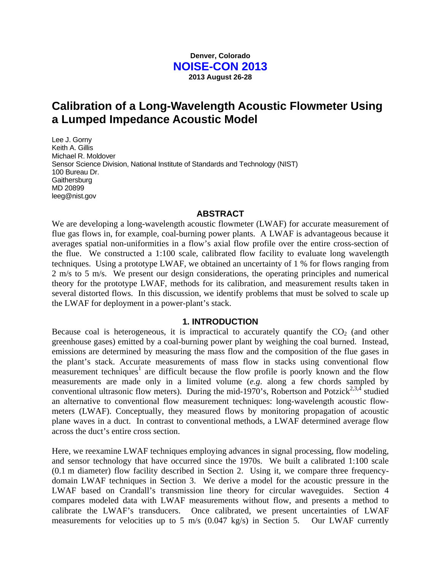## **Denver, Colorado NOISE-CON 2013 2013 August 26-28**

# **Calibration of a Long-Wavelength Acoustic Flowmeter Using a Lumped Impedance Acoustic Model**

Lee J. Gorny Keith A. Gillis Michael R. Moldover Sensor Science Division, National Institute of Standards and Technology (NIST) 100 Bureau Dr. **Gaithersburg** MD 20899 leeg@nist.gov

#### **ABSTRACT**

We are developing a long-wavelength acoustic flowmeter (LWAF) for accurate measurement of flue gas flows in, for example, coal-burning power plants. A LWAF is advantageous because it averages spatial non-uniformities in a flow's axial flow profile over the entire cross-section of the flue. We constructed a 1:100 scale, calibrated flow facility to evaluate long wavelength techniques. Using a prototype LWAF, we obtained an uncertainty of 1 % for flows ranging from 2 m/s to 5 m/s. We present our design considerations, the operating principles and numerical theory for the prototype LWAF, methods for its calibration, and measurement results taken in several distorted flows. In this discussion, we identify problems that must be solved to scale up the LWAF for deployment in a power-plant's stack.

#### **1. INTRODUCTION**

Because coal is heterogeneous, it is impractical to accurately quantify the  $CO<sub>2</sub>$  (and other greenhouse gases) emitted by a coal-burning power plant by weighing the coal burned. Instead, emissions are determined by measuring the mass flow and the composition of the flue gases in the plant's stack. Accurate measurements of mass flow in stacks using conventional flow measurement techniques<sup>1</sup> are difficult because the flow profile is poorly known and the flow measurements are made only in a limited volume (*e.g*. along a few chords sampled by conventional ultrasonic flow meters). During the mid-1970's, Robertson and Potzick<sup>2,3,4</sup> studied an alternative to conventional flow measurement techniques: long-wavelength acoustic flowmeters (LWAF). Conceptually, they measured flows by monitoring propagation of acoustic plane waves in a duct. In contrast to conventional methods, a LWAF determined average flow across the duct's entire cross section.

Here, we reexamine LWAF techniques employing advances in signal processing, flow modeling, and sensor technology that have occurred since the 1970s. We built a calibrated 1:100 scale (0.1 m diameter) flow facility described in Section 2. Using it, we compare three frequencydomain LWAF techniques in Section 3. We derive a model for the acoustic pressure in the LWAF based on Crandall's transmission line theory for circular waveguides. Section 4 compares modeled data with LWAF measurements without flow, and presents a method to calibrate the LWAF's transducers. Once calibrated, we present uncertainties of LWAF measurements for velocities up to 5 m/s (0.047 kg/s) in Section 5. Our LWAF currently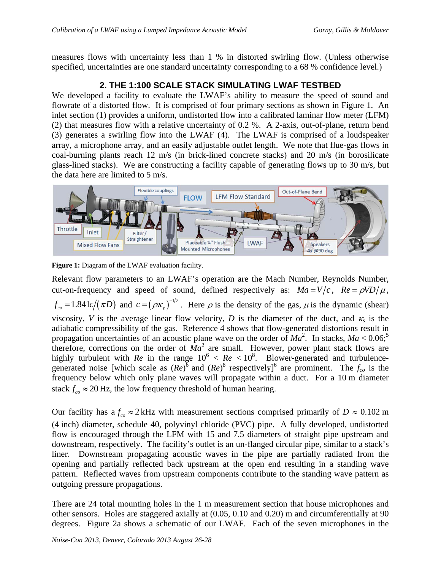measures flows with uncertainty less than 1 % in distorted swirling flow. (Unless otherwise specified, uncertainties are one standard uncertainty corresponding to a 68 % confidence level.)

## **2. THE 1:100 SCALE STACK SIMULATING LWAF TESTBED**

We developed a facility to evaluate the LWAF's ability to measure the speed of sound and flowrate of a distorted flow. It is comprised of four primary sections as shown in Figure 1. An inlet section (1) provides a uniform, undistorted flow into a calibrated laminar flow meter (LFM) (2) that measures flow with a relative uncertainty of 0.2 %. A 2-axis, out-of-plane, return bend (3) generates a swirling flow into the LWAF (4). The LWAF is comprised of a loudspeaker array, a microphone array, and an easily adjustable outlet length. We note that flue-gas flows in coal-burning plants reach 12 m/s (in brick-lined concrete stacks) and 20 m/s (in borosilicate glass-lined stacks). We are constructing a facility capable of generating flows up to 30 m/s, but the data here are limited to 5 m/s.



**Figure 1:** Diagram of the LWAF evaluation facility.

Relevant flow parameters to an LWAF's operation are the Mach Number, Reynolds Number, cut-on-frequency and speed of sound, defined respectively as:  $Ma = V/c$ ,  $Re = \rho V D/\mu$ ,  $f_{\rm co} = 1.841 c/(\pi D)$  and  $c = (\rho \kappa_s)^{-1/2}$ . Here  $\rho$  is the density of the gas,  $\mu$  is the dynamic (shear) viscosity, *V* is the average linear flow velocity, *D* is the diameter of the duct, and  $\kappa_s$  is the adiabatic compressibility of the gas. Reference 4 shows that flow-generated distortions result in propagation uncertainties of an acoustic plane wave on the order of  $Ma^2$ . In stacks,  $Ma < 0.06$ ;<sup>5</sup> therefore, corrections on the order of  $\overline{Ma}^2$  are small. However, power plant stack flows are highly turbulent with *Re* in the range  $10^6 < Re < 10^8$ . Blower-generated and turbulencegenerated noise [which scale as  $(Re)^6$  and  $(Re)^8$  respectively]<sup>6</sup> are prominent. The  $f_{co}$  is the frequency below which only plane waves will propagate within a duct. For a 10 m diameter stack  $f_{co} \approx 20$  Hz, the low frequency threshold of human hearing.

Our facility has  $a f_{co} \approx 2$  kHz with measurement sections comprised primarily of  $D \approx 0.102$  m (4 inch) diameter, schedule 40, polyvinyl chloride (PVC) pipe. A fully developed, undistorted flow is encouraged through the LFM with 15 and 7.5 diameters of straight pipe upstream and downstream, respectively. The facility's outlet is an un-flanged circular pipe, similar to a stack's liner. Downstream propagating acoustic waves in the pipe are partially radiated from the opening and partially reflected back upstream at the open end resulting in a standing wave pattern. Reflected waves from upstream components contribute to the standing wave pattern as outgoing pressure propagations.

There are 24 total mounting holes in the 1 m measurement section that house microphones and other sensors. Holes are staggered axially at (0.05, 0.10 and 0.20) m and circumferentially at 90 degrees. Figure 2a shows a schematic of our LWAF. Each of the seven microphones in the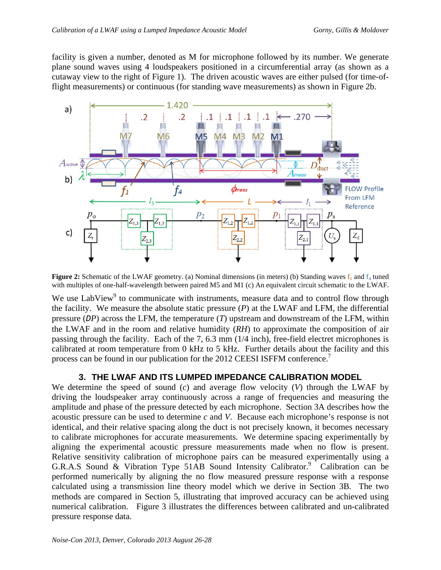facility is given a number, denoted as M for microphone followed by its number. We generate plane sound waves using 4 loudspeakers positioned in a circumferential array (as shown as a cutaway view to the right of Figure 1). The driven acoustic waves are either pulsed (for time-offlight measurements) or continuous (for standing wave measurements) as shown in Figure 2b.



**Figure 2:** Schematic of the LWAF geometry. (a) Nominal dimensions (in meters) (b) Standing waves  $f_1$  and  $f_4$  tuned with multiples of one-half-wavelength between paired M5 and M1 (c) An equivalent circuit schematic to the LWAF.

We use LabView<sup>9</sup> to communicate with instruments, measure data and to control flow through the facility. We measure the absolute static pressure  $(P)$  at the LWAF and LFM, the differential pressure (*DP*) across the LFM, the temperature (*T*) upstream and downstream of the LFM, within the LWAF and in the room and relative humidity (*RH*) to approximate the composition of air passing through the facility. Each of the 7, 6.3 mm (1/4 inch), free-field electret microphones is calibrated at room temperature from 0 kHz to 5 kHz. Further details about the facility and this process can be found in our publication for the 2012 CEESI ISFFM conference.<sup>7</sup>

### **3. THE LWAF AND ITS LUMPED IMPEDANCE CALIBRATION MODEL**

We determine the speed of sound (*c*) and average flow velocity (*V*) through the LWAF by driving the loudspeaker array continuously across a range of frequencies and measuring the amplitude and phase of the pressure detected by each microphone. Section 3A describes how the acoustic pressure can be used to determine *c* and *V*. Because each microphone's response is not identical, and their relative spacing along the duct is not precisely known, it becomes necessary to calibrate microphones for accurate measurements. We determine spacing experimentally by aligning the experimental acoustic pressure measurements made when no flow is present. Relative sensitivity calibration of microphone pairs can be measured experimentally using a G.R.A.S Sound & Vibration Type 51AB Sound Intensity Calibrator.<sup>9</sup> Calibration can be performed numerically by aligning the no flow measured pressure response with a response calculated using a transmission line theory model which we derive in Section 3B. The two methods are compared in Section 5, illustrating that improved accuracy can be achieved using numerical calibration. Figure 3 illustrates the differences between calibrated and un-calibrated pressure response data.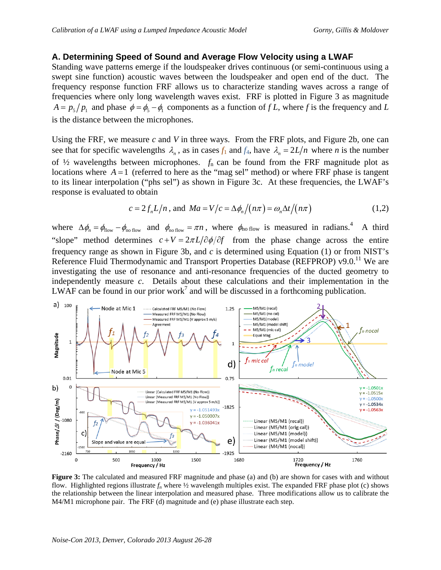#### **A. Determining Speed of Sound and Average Flow Velocity using a LWAF**

Standing wave patterns emerge if the loudspeaker drives continuous (or semi-continuous using a swept sine function) acoustic waves between the loudspeaker and open end of the duct. The frequency response function FRF allows us to characterize standing waves across a range of frequencies where only long wavelength waves exist. FRF is plotted in Figure 3 as magnitude  $A = p_5 / p_1$  and phase  $\phi = \phi_5 - \phi_1$  components as a function of *f L*, where *f* is the frequency and *L* is the distance between the microphones.

Using the FRF, we measure *c* and *V* in three ways. From the FRF plots, and Figure 2b, one can see that for specific wavelengths  $\lambda_n$ , as in cases  $f_1$  and  $f_4$ , have  $\lambda_n = 2L/n$  where *n* is the number of ½ wavelengths between microphones. *f*<sup>n</sup> can be found from the FRF magnitude plot as locations where  $A = 1$  (referred to here as the "mag sel" method) or where FRF phase is tangent to its linear interpolation ("phs sel") as shown in Figure 3c. At these frequencies, the LWAF's response is evaluated to obtain

$$
c = 2f_n L/n, \text{ and } Ma = V/c = \Delta \phi_n / (n\pi) = \omega_n \Delta t / (n\pi) \tag{1,2}
$$

where  $\Delta\phi_n = \phi_{\text{flow}} - \phi_{\text{no flow}}$  and  $\phi_{\text{no flow}} = \pi n$ , where  $\phi_{\text{no flow}}$  is measured in radians.<sup>4</sup> A third "slope" method determines  $c+V = 2\pi L/\partial \phi/\partial f$  from the phase change across the entire frequency range as shown in Figure 3b, and *c* is determined using Equation (1) or from NIST's Reference Fluid Thermodynamic and Transport Properties Database (REFPROP) v9.0.<sup>11</sup> We are investigating the use of resonance and anti-resonance frequencies of the ducted geometry to independently measure *c*. Details about these calculations and their implementation in the LWAF can be found in our prior work<sup>7</sup> and will be discussed in a forthcoming publication.



**Figure 3:** The calculated and measured FRF magnitude and phase (a) and (b) are shown for cases with and without flow. Highlighted regions illustrate  $f_n$  where  $\frac{1}{2}$  wavelength multiples exist. The expanded FRF phase plot (c) shows the relationship between the linear interpolation and measured phase. Three modifications allow us to calibrate the M4/M1 microphone pair. The FRF (d) magnitude and (e) phase illustrate each step.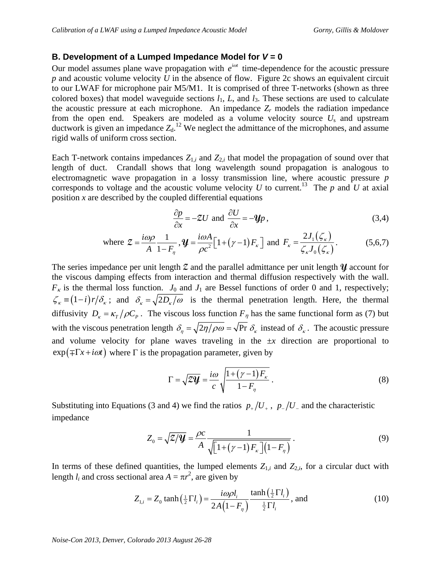#### **B. Development of a Lumped Impedance Model for** *V* **= 0**

Our model assumes plane wave propagation with  $e^{i\omega t}$  time-dependence for the acoustic pressure *p* and acoustic volume velocity *U* in the absence of flow. Figure 2c shows an equivalent circuit to our LWAF for microphone pair M5/M1. It is comprised of three T-networks (shown as three colored boxes) that model waveguide sections  $l_1$ ,  $L$ , and  $l_3$ . These sections are used to calculate the acoustic pressure at each microphone. An impedance  $Z_r$  models the radiation impedance from the open end. Speakers are modeled as a volume velocity source *U*s and upstream ductwork is given an impedance  $Z_d$ .<sup>12</sup> We neglect the admittance of the microphones, and assume rigid walls of uniform cross section.

Each T-network contains impedances  $Z_{1,i}$  and  $Z_{2,i}$  that model the propagation of sound over that length of duct. Crandall shows that long wavelength sound propagation is analogous to electromagnetic wave propagation in a lossy transmission line, where acoustic pressure *p* corresponds to voltage and the acoustic volume velocity  $U$  to current.<sup>13</sup> The  $p$  and  $U$  at axial position *x* are described by the coupled differential equations

$$
\frac{\partial p}{\partial x} = -ZU \text{ and } \frac{\partial U}{\partial x} = -\mathbf{Y}p \,,\tag{3.4}
$$

where 
$$
\mathcal{Z} = \frac{i\omega\rho}{A} \frac{1}{1 - F_{\eta}}, \mathcal{Y} = \frac{i\omega A}{\rho c^2} \Big[ 1 + (\gamma - 1) F_{\kappa} \Big] \text{ and } F_{\kappa} = \frac{2J_1(\zeta_{\kappa})}{\zeta_{\kappa} J_0(\zeta_{\kappa})}.
$$
 (5,6,7)

The series impedance per unit length **Z** and the parallel admittance per unit length **Y** account for the viscous damping effects from interaction and thermal diffusion respectively with the wall.  $F_k$  is the thermal loss function.  $J_0$  and  $J_1$  are Bessel functions of order 0 and 1, respectively;  $\zeta_{\kappa} = (1-i) r/\delta_{\kappa}$ ; and  $\delta_{\kappa} = \sqrt{2D_{\kappa}/\omega}$  is the thermal penetration length. Here, the thermal diffusivity  $D_{\kappa} = \kappa_T / \rho C_p$ . The viscous loss function  $F_{\eta}$  has the same functional form as (7) but with the viscous penetration length  $\delta_n = \sqrt{2\eta/\rho\omega} = \sqrt{Pr} \delta_{\kappa}$  instead of  $\delta_{\kappa}$ . The acoustic pressure and volume velocity for plane waves traveling in the ±*x* direction are proportional to  $\exp(\mp \Gamma x + i\omega t)$  where  $\Gamma$  is the propagation parameter, given by

$$
\Gamma = \sqrt{2\mathcal{Y}} = \frac{i\omega}{c} \sqrt{\frac{1 + (\gamma - 1)F_{\kappa}}{1 - F_{\eta}}}.
$$
\n(8)

Substituting into Equations (3 and 4) we find the ratios  $p_{\perp}/U_{\perp}$ ,  $p_{\perp}/U_{\perp}$  and the characteristic impedance

$$
Z_0 = \sqrt{\mathcal{Z}/\mathcal{Y}} = \frac{\rho c}{A} \frac{1}{\sqrt{\left[1 + (\gamma - 1)F_\kappa\right]\left(1 - F_\eta\right)}}\,. \tag{9}
$$

In terms of these defined quantities, the lumped elements  $Z_{1,i}$  and  $Z_{2,i}$ , for a circular duct with length  $l_i$  and cross sectional area  $A = \pi r^2$ , are given by

$$
Z_{1,i} = Z_0 \tanh\left(\frac{1}{2}\Gamma l_i\right) = \frac{i\omega\rho l_i}{2A\left(1 - F_\eta\right)} \frac{\tanh\left(\frac{1}{2}\Gamma l_i\right)}{\frac{1}{2}\Gamma l_i}, \text{ and} \tag{10}
$$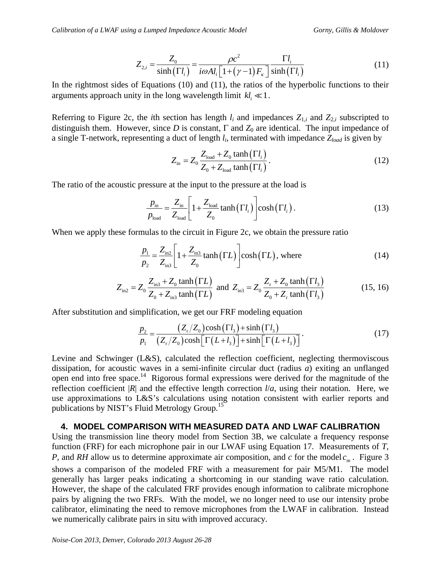$$
Z_{2,i} = \frac{Z_0}{\sinh(\Gamma l_i)} = \frac{\rho c^2}{i\omega A l_i \left[1 + (\gamma - 1)F_\kappa\right]} \frac{\Gamma l_i}{\sinh(\Gamma l_i)}
$$
(11)

In the rightmost sides of Equations (10) and (11), the ratios of the hyperbolic functions to their arguments approach unity in the long wavelength limit  $kl_i \ll 1$ .

Referring to Figure 2c, the *i*th section has length  $l_i$  and impedances  $Z_{1,i}$  and  $Z_{2,i}$  subscripted to distinguish them. However, since *D* is constant,  $\Gamma$  and  $Z_0$  are identical. The input impedance of a single T-network, representing a duct of length *li*, terminated with impedance *Zload* is given by

$$
Z_{\text{in}} = Z_0 \frac{Z_{\text{load}} + Z_0 \tanh\left(\Gamma l_i\right)}{Z_0 + Z_{\text{load}} \tanh\left(\Gamma l_i\right)}.
$$
 (12)

The ratio of the acoustic pressure at the input to the pressure at the load is

$$
\frac{p_{\text{in}}}{p_{\text{load}}} = \frac{Z_{\text{in}}}{Z_{\text{load}}} \left[ 1 + \frac{Z_{\text{load}}}{Z_0} \tanh\left(\Gamma l_i\right) \right] \cosh\left(\Gamma l_i\right). \tag{13}
$$

When we apply these formulas to the circuit in Figure 2c, we obtain the pressure ratio

$$
\frac{p_1}{p_2} = \frac{Z_{\text{in2}}}{Z_{\text{in3}}} \left[ 1 + \frac{Z_{\text{in3}}}{Z_0} \tanh\left(\Gamma L\right) \right] \cosh\left(\Gamma L\right), \text{ where}
$$
\n(14)

$$
Z_{\text{in2}} = Z_0 \frac{Z_{\text{in3}} + Z_0 \tanh(\Gamma L)}{Z_0 + Z_{\text{in3}} \tanh(\Gamma L)} \text{ and } Z_{\text{in3}} = Z_0 \frac{Z_r + Z_0 \tanh(\Gamma l_3)}{Z_0 + Z_r \tanh(\Gamma l_3)}
$$
(15, 16)

After substitution and simplification, we get our FRF modeling equation

$$
\frac{p_2}{p_1} = \frac{\left(Z_r/Z_0\right)\cosh\left(\Gamma l_3\right) + \sinh\left(\Gamma l_3\right)}{\left(Z_r/Z_0\right)\cosh\left[\Gamma\left(L+l_3\right)\right] + \sinh\left[\Gamma\left(L+l_3\right)\right]}.
$$
\n(17)

Levine and Schwinger (L&S), calculated the reflection coefficient, neglecting thermoviscous dissipation, for acoustic waves in a semi-infinite circular duct (radius *a*) exiting an unflanged open end into free space.<sup>14</sup> Rigorous formal expressions were derived for the magnitude of the reflection coefficient  $|R|$  and the effective length correction  $l/a$ , using their notation. Here, we use approximations to L&S's calculations using notation consistent with earlier reports and publications by NIST's Fluid Metrology Group.<sup>15</sup>

### **4. MODEL COMPARISON WITH MEASURED DATA AND LWAF CALIBRATION**

Using the transmission line theory model from Section 3B, we calculate a frequency response function (FRF) for each microphone pair in our LWAF using Equation 17. Measurements of *T*, *P*, and *RH* allow us to determine approximate air composition, and *c* for the model  $c_m$ . Figure 3 shows a comparison of the modeled FRF with a measurement for pair M5/M1. The model generally has larger peaks indicating a shortcoming in our standing wave ratio calculation. However, the shape of the calculated FRF provides enough information to calibrate microphone pairs by aligning the two FRFs. With the model, we no longer need to use our intensity probe calibrator, eliminating the need to remove microphones from the LWAF in calibration. Instead we numerically calibrate pairs in situ with improved accuracy.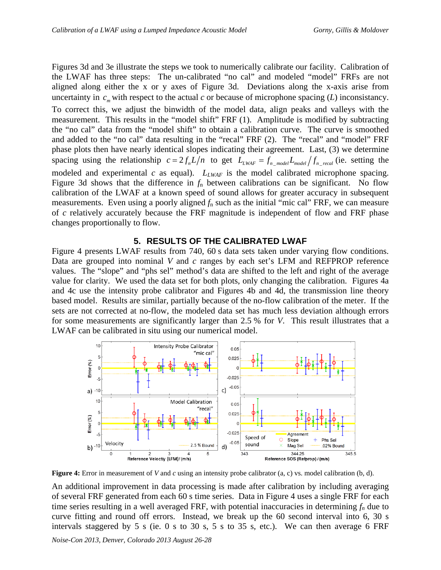Figures 3d and 3e illustrate the steps we took to numerically calibrate our facility. Calibration of the LWAF has three steps: The un-calibrated "no cal" and modeled "model" FRFs are not aligned along either the x or y axes of Figure 3d. Deviations along the x-axis arise from uncertainty in  $c_m$  with respect to the actual  $c$  or because of microphone spacing (*L*) inconsistancy. To correct this, we adjust the binwidth of the model data, align peaks and valleys with the measurement. This results in the "model shift" FRF (1). Amplitude is modified by subtracting the "no cal" data from the "model shift" to obtain a calibration curve. The curve is smoothed and added to the "no cal" data resulting in the "recal" FRF (2). The "recal" and "model" FRF phase plots then have nearly identical slopes indicating their agreement. Last, (3) we determine spacing using the relationship  $c = 2 f_n L/n$  to get  $L_{LWAF} = f_{n\_model} L_{model} / f_{n\_recall}$  (ie. setting the modeled and experimental *c* as equal).  $L_{LWAF}$  is the model calibrated microphone spacing. Figure 3d shows that the difference in  $f_n$  between calibrations can be significant. No flow calibration of the LWAF at a known speed of sound allows for greater accuracy in subsequent measurements. Even using a poorly aligned *f*n such as the initial "mic cal" FRF, we can measure of *c* relatively accurately because the FRF magnitude is independent of flow and FRF phase changes proportionally to flow.

### **5. RESULTS OF THE CALIBRATED LWAF**

Figure 4 presents LWAF results from 740, 60 s data sets taken under varying flow conditions. Data are grouped into nominal *V* and *c* ranges by each set's LFM and REFPROP reference values. The "slope" and "phs sel" method's data are shifted to the left and right of the average value for clarity. We used the data set for both plots, only changing the calibration. Figures 4a and 4c use the intensity probe calibrator and Figures 4b and 4d, the transmission line theory based model. Results are similar, partially because of the no-flow calibration of the meter. If the sets are not corrected at no-flow, the modeled data set has much less deviation although errors for some measurements are significantly larger than 2.5 % for *V*. This result illustrates that a LWAF can be calibrated in situ using our numerical model.



**Figure 4:** Error in measurement of *V* and *c* using an intensity probe calibrator (a, c) vs. model calibration (b, d).

An additional improvement in data processing is made after calibration by including averaging of several FRF generated from each 60 s time series. Data in Figure 4 uses a single FRF for each time series resulting in a well averaged FRF, with potential inaccuracies in determining  $f_n$  due to curve fitting and round off errors. Instead, we break up the 60 second interval into 6, 30 s intervals staggered by 5 s (ie. 0 s to 30 s, 5 s to 35 s, etc.). We can then average 6 FRF

*Noise-Con 2013, Denver, Colorado 2013 August 26-28*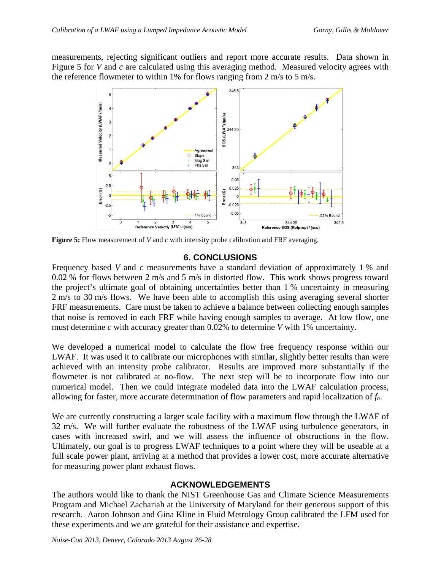measurements, rejecting significant outliers and report more accurate results. Data shown in Figure 5 for *V* and *c* are calculated using this averaging method. Measured velocity agrees with the reference flowmeter to within 1% for flows ranging from 2 m/s to 5 m/s.



**Figure 5:** Flow measurement of *V* and *c* with intensity probe calibration and FRF averaging.

# **6. CONCLUSIONS**

Frequency based *V* and *c* measurements have a standard deviation of approximately 1 % and 0.02 % for flows between 2 m/s and 5 m/s in distorted flow. This work shows progress toward the project's ultimate goal of obtaining uncertainties better than 1 % uncertainty in measuring 2 m/s to 30 m/s flows. We have been able to accomplish this using averaging several shorter FRF measurements. Care must be taken to achieve a balance between collecting enough samples that noise is removed in each FRF while having enough samples to average. At low flow, one must determine *c* with accuracy greater than 0.02% to determine *V* with 1% uncertainty.

We developed a numerical model to calculate the flow free frequency response within our LWAF. It was used it to calibrate our microphones with similar, slightly better results than were achieved with an intensity probe calibrator. Results are improved more substantially if the flowmeter is not calibrated at no-flow. The next step will be to incorporate flow into our numerical model. Then we could integrate modeled data into the LWAF calculation process, allowing for faster, more accurate determination of flow parameters and rapid localization of *fn*.

We are currently constructing a larger scale facility with a maximum flow through the LWAF of 32 m/s. We will further evaluate the robustness of the LWAF using turbulence generators, in cases with increased swirl, and we will assess the influence of obstructions in the flow. Ultimately, our goal is to progress LWAF techniques to a point where they will be useable at a full scale power plant, arriving at a method that provides a lower cost, more accurate alternative for measuring power plant exhaust flows.

# **ACKNOWLEDGEMENTS**

The authors would like to thank the NIST Greenhouse Gas and Climate Science Measurements Program and Michael Zachariah at the University of Maryland for their generous support of this research. Aaron Johnson and Gina Kline in Fluid Metrology Group calibrated the LFM used for these experiments and we are grateful for their assistance and expertise.